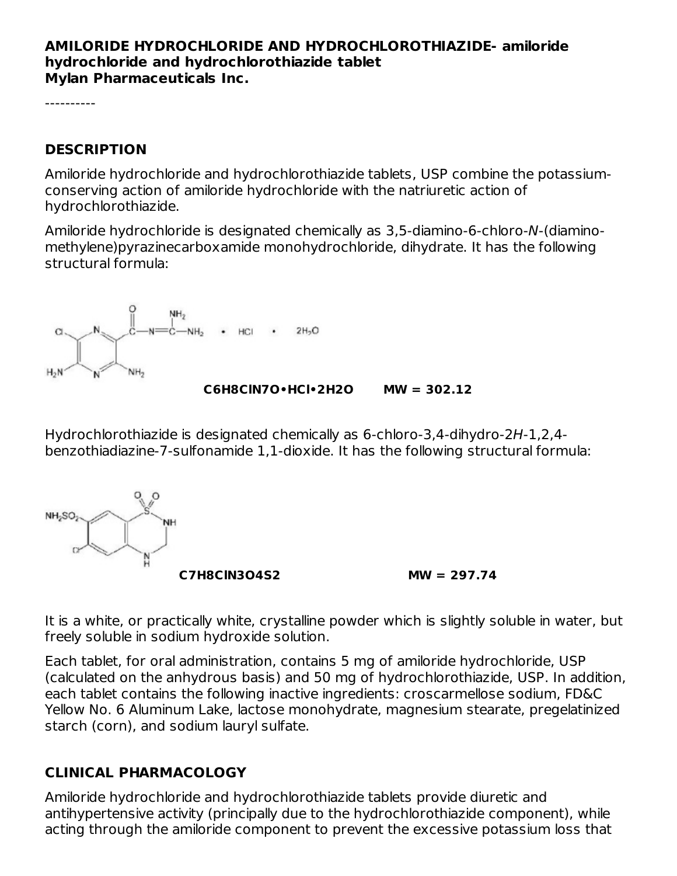#### **AMILORIDE HYDROCHLORIDE AND HYDROCHLOROTHIAZIDE- amiloride hydrochloride and hydrochlorothiazide tablet Mylan Pharmaceuticals Inc.**

----------

#### **DESCRIPTION**

Amiloride hydrochloride and hydrochlorothiazide tablets, USP combine the potassiumconserving action of amiloride hydrochloride with the natriuretic action of hydrochlorothiazide.

Amiloride hydrochloride is designated chemically as 3,5-diamino-6-chloro-N-(diaminomethylene)pyrazinecarboxamide monohydrochloride, dihydrate. It has the following structural formula:



Hydrochlorothiazide is designated chemically as 6-chloro-3,4-dihydro-2H-1,2,4 benzothiadiazine-7-sulfonamide 1,1-dioxide. It has the following structural formula:



It is a white, or practically white, crystalline powder which is slightly soluble in water, but freely soluble in sodium hydroxide solution.

Each tablet, for oral administration, contains 5 mg of amiloride hydrochloride, USP (calculated on the anhydrous basis) and 50 mg of hydrochlorothiazide, USP. In addition, each tablet contains the following inactive ingredients: croscarmellose sodium, FD&C Yellow No. 6 Aluminum Lake, lactose monohydrate, magnesium stearate, pregelatinized starch (corn), and sodium lauryl sulfate.

# **CLINICAL PHARMACOLOGY**

Amiloride hydrochloride and hydrochlorothiazide tablets provide diuretic and antihypertensive activity (principally due to the hydrochlorothiazide component), while acting through the amiloride component to prevent the excessive potassium loss that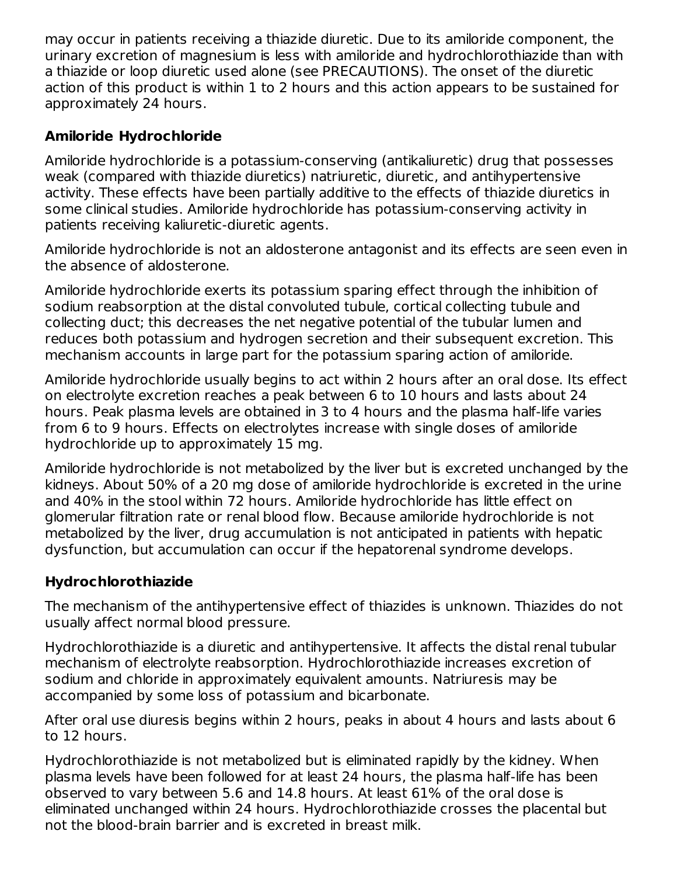may occur in patients receiving a thiazide diuretic. Due to its amiloride component, the urinary excretion of magnesium is less with amiloride and hydrochlorothiazide than with a thiazide or loop diuretic used alone (see PRECAUTIONS). The onset of the diuretic action of this product is within 1 to 2 hours and this action appears to be sustained for approximately 24 hours.

# **Amiloride Hydrochloride**

Amiloride hydrochloride is a potassium-conserving (antikaliuretic) drug that possesses weak (compared with thiazide diuretics) natriuretic, diuretic, and antihypertensive activity. These effects have been partially additive to the effects of thiazide diuretics in some clinical studies. Amiloride hydrochloride has potassium-conserving activity in patients receiving kaliuretic-diuretic agents.

Amiloride hydrochloride is not an aldosterone antagonist and its effects are seen even in the absence of aldosterone.

Amiloride hydrochloride exerts its potassium sparing effect through the inhibition of sodium reabsorption at the distal convoluted tubule, cortical collecting tubule and collecting duct; this decreases the net negative potential of the tubular lumen and reduces both potassium and hydrogen secretion and their subsequent excretion. This mechanism accounts in large part for the potassium sparing action of amiloride.

Amiloride hydrochloride usually begins to act within 2 hours after an oral dose. Its effect on electrolyte excretion reaches a peak between 6 to 10 hours and lasts about 24 hours. Peak plasma levels are obtained in 3 to 4 hours and the plasma half-life varies from 6 to 9 hours. Effects on electrolytes increase with single doses of amiloride hydrochloride up to approximately 15 mg.

Amiloride hydrochloride is not metabolized by the liver but is excreted unchanged by the kidneys. About 50% of a 20 mg dose of amiloride hydrochloride is excreted in the urine and 40% in the stool within 72 hours. Amiloride hydrochloride has little effect on glomerular filtration rate or renal blood flow. Because amiloride hydrochloride is not metabolized by the liver, drug accumulation is not anticipated in patients with hepatic dysfunction, but accumulation can occur if the hepatorenal syndrome develops.

# **Hydrochlorothiazide**

The mechanism of the antihypertensive effect of thiazides is unknown. Thiazides do not usually affect normal blood pressure.

Hydrochlorothiazide is a diuretic and antihypertensive. It affects the distal renal tubular mechanism of electrolyte reabsorption. Hydrochlorothiazide increases excretion of sodium and chloride in approximately equivalent amounts. Natriuresis may be accompanied by some loss of potassium and bicarbonate.

After oral use diuresis begins within 2 hours, peaks in about 4 hours and lasts about 6 to 12 hours.

Hydrochlorothiazide is not metabolized but is eliminated rapidly by the kidney. When plasma levels have been followed for at least 24 hours, the plasma half-life has been observed to vary between 5.6 and 14.8 hours. At least 61% of the oral dose is eliminated unchanged within 24 hours. Hydrochlorothiazide crosses the placental but not the blood-brain barrier and is excreted in breast milk.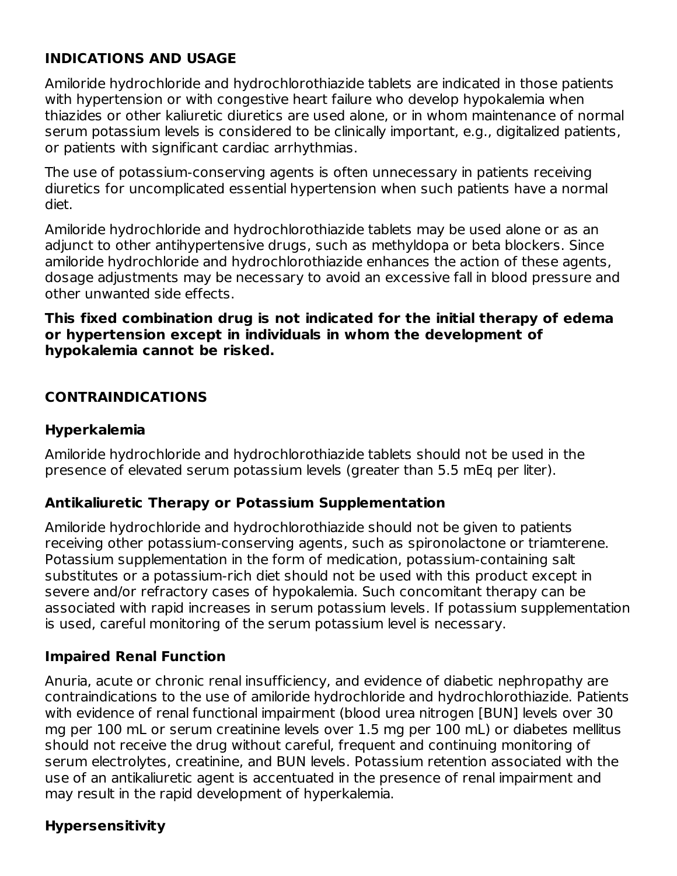# **INDICATIONS AND USAGE**

Amiloride hydrochloride and hydrochlorothiazide tablets are indicated in those patients with hypertension or with congestive heart failure who develop hypokalemia when thiazides or other kaliuretic diuretics are used alone, or in whom maintenance of normal serum potassium levels is considered to be clinically important, e.g., digitalized patients, or patients with significant cardiac arrhythmias.

The use of potassium-conserving agents is often unnecessary in patients receiving diuretics for uncomplicated essential hypertension when such patients have a normal diet.

Amiloride hydrochloride and hydrochlorothiazide tablets may be used alone or as an adjunct to other antihypertensive drugs, such as methyldopa or beta blockers. Since amiloride hydrochloride and hydrochlorothiazide enhances the action of these agents, dosage adjustments may be necessary to avoid an excessive fall in blood pressure and other unwanted side effects.

#### **This fixed combination drug is not indicated for the initial therapy of edema or hypertension except in individuals in whom the development of hypokalemia cannot be risked.**

# **CONTRAINDICATIONS**

#### **Hyperkalemia**

Amiloride hydrochloride and hydrochlorothiazide tablets should not be used in the presence of elevated serum potassium levels (greater than 5.5 mEq per liter).

# **Antikaliuretic Therapy or Potassium Supplementation**

Amiloride hydrochloride and hydrochlorothiazide should not be given to patients receiving other potassium-conserving agents, such as spironolactone or triamterene. Potassium supplementation in the form of medication, potassium-containing salt substitutes or a potassium-rich diet should not be used with this product except in severe and/or refractory cases of hypokalemia. Such concomitant therapy can be associated with rapid increases in serum potassium levels. If potassium supplementation is used, careful monitoring of the serum potassium level is necessary.

# **Impaired Renal Function**

Anuria, acute or chronic renal insufficiency, and evidence of diabetic nephropathy are contraindications to the use of amiloride hydrochloride and hydrochlorothiazide. Patients with evidence of renal functional impairment (blood urea nitrogen [BUN] levels over 30 mg per 100 mL or serum creatinine levels over 1.5 mg per 100 mL) or diabetes mellitus should not receive the drug without careful, frequent and continuing monitoring of serum electrolytes, creatinine, and BUN levels. Potassium retention associated with the use of an antikaliuretic agent is accentuated in the presence of renal impairment and may result in the rapid development of hyperkalemia.

# **Hypersensitivity**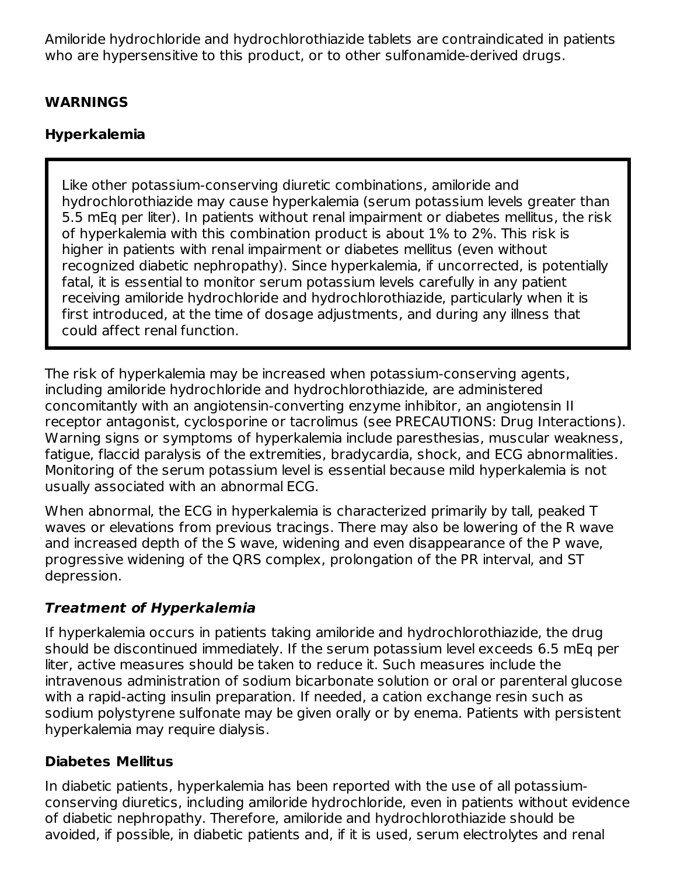Amiloride hydrochloride and hydrochlorothiazide tablets are contraindicated in patients who are hypersensitive to this product, or to other sulfonamide-derived drugs.

# **WARNINGS**

# **Hyperkalemia**

Like other potassium-conserving diuretic combinations, amiloride and hydrochlorothiazide may cause hyperkalemia (serum potassium levels greater than 5.5 mEq per liter). In patients without renal impairment or diabetes mellitus, the risk of hyperkalemia with this combination product is about 1% to 2%. This risk is higher in patients with renal impairment or diabetes mellitus (even without recognized diabetic nephropathy). Since hyperkalemia, if uncorrected, is potentially fatal, it is essential to monitor serum potassium levels carefully in any patient receiving amiloride hydrochloride and hydrochlorothiazide, particularly when it is first introduced, at the time of dosage adjustments, and during any illness that could affect renal function.

The risk of hyperkalemia may be increased when potassium-conserving agents, including amiloride hydrochloride and hydrochlorothiazide, are administered concomitantly with an angiotensin-converting enzyme inhibitor, an angiotensin II receptor antagonist, cyclosporine or tacrolimus (see PRECAUTIONS: Drug Interactions). Warning signs or symptoms of hyperkalemia include paresthesias, muscular weakness, fatigue, flaccid paralysis of the extremities, bradycardia, shock, and ECG abnormalities. Monitoring of the serum potassium level is essential because mild hyperkalemia is not usually associated with an abnormal ECG.

When abnormal, the ECG in hyperkalemia is characterized primarily by tall, peaked T waves or elevations from previous tracings. There may also be lowering of the R wave and increased depth of the S wave, widening and even disappearance of the P wave, progressive widening of the QRS complex, prolongation of the PR interval, and ST depression.

# **Treatment of Hyperkalemia**

If hyperkalemia occurs in patients taking amiloride and hydrochlorothiazide, the drug should be discontinued immediately. If the serum potassium level exceeds 6.5 mEq per liter, active measures should be taken to reduce it. Such measures include the intravenous administration of sodium bicarbonate solution or oral or parenteral glucose with a rapid-acting insulin preparation. If needed, a cation exchange resin such as sodium polystyrene sulfonate may be given orally or by enema. Patients with persistent hyperkalemia may require dialysis.

# **Diabetes Mellitus**

In diabetic patients, hyperkalemia has been reported with the use of all potassiumconserving diuretics, including amiloride hydrochloride, even in patients without evidence of diabetic nephropathy. Therefore, amiloride and hydrochlorothiazide should be avoided, if possible, in diabetic patients and, if it is used, serum electrolytes and renal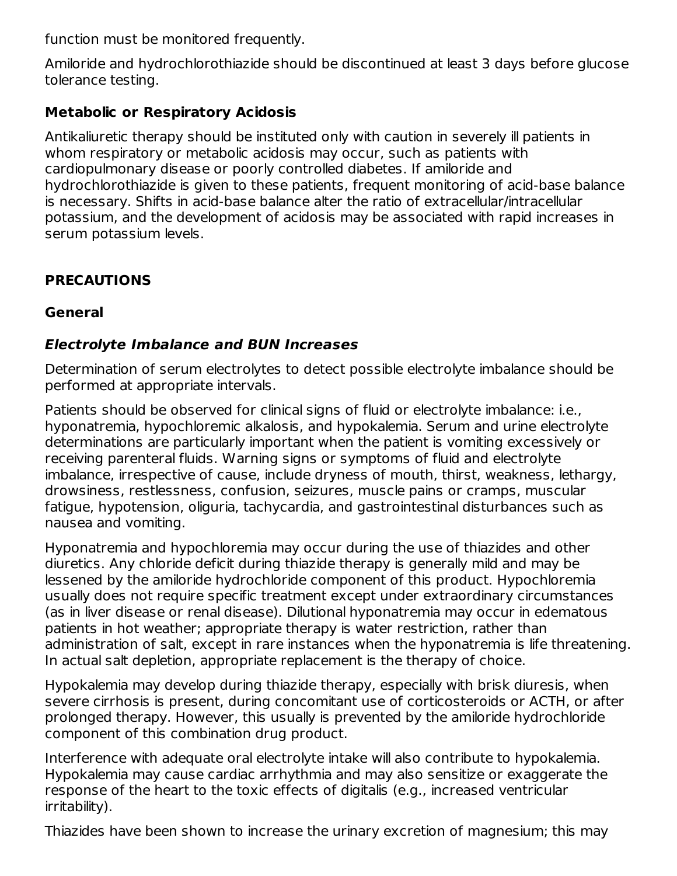function must be monitored frequently.

Amiloride and hydrochlorothiazide should be discontinued at least 3 days before glucose tolerance testing.

# **Metabolic or Respiratory Acidosis**

Antikaliuretic therapy should be instituted only with caution in severely ill patients in whom respiratory or metabolic acidosis may occur, such as patients with cardiopulmonary disease or poorly controlled diabetes. If amiloride and hydrochlorothiazide is given to these patients, frequent monitoring of acid-base balance is necessary. Shifts in acid-base balance alter the ratio of extracellular/intracellular potassium, and the development of acidosis may be associated with rapid increases in serum potassium levels.

# **PRECAUTIONS**

# **General**

# **Electrolyte Imbalance and BUN Increases**

Determination of serum electrolytes to detect possible electrolyte imbalance should be performed at appropriate intervals.

Patients should be observed for clinical signs of fluid or electrolyte imbalance: i.e., hyponatremia, hypochloremic alkalosis, and hypokalemia. Serum and urine electrolyte determinations are particularly important when the patient is vomiting excessively or receiving parenteral fluids. Warning signs or symptoms of fluid and electrolyte imbalance, irrespective of cause, include dryness of mouth, thirst, weakness, lethargy, drowsiness, restlessness, confusion, seizures, muscle pains or cramps, muscular fatigue, hypotension, oliguria, tachycardia, and gastrointestinal disturbances such as nausea and vomiting.

Hyponatremia and hypochloremia may occur during the use of thiazides and other diuretics. Any chloride deficit during thiazide therapy is generally mild and may be lessened by the amiloride hydrochloride component of this product. Hypochloremia usually does not require specific treatment except under extraordinary circumstances (as in liver disease or renal disease). Dilutional hyponatremia may occur in edematous patients in hot weather; appropriate therapy is water restriction, rather than administration of salt, except in rare instances when the hyponatremia is life threatening. In actual salt depletion, appropriate replacement is the therapy of choice.

Hypokalemia may develop during thiazide therapy, especially with brisk diuresis, when severe cirrhosis is present, during concomitant use of corticosteroids or ACTH, or after prolonged therapy. However, this usually is prevented by the amiloride hydrochloride component of this combination drug product.

Interference with adequate oral electrolyte intake will also contribute to hypokalemia. Hypokalemia may cause cardiac arrhythmia and may also sensitize or exaggerate the response of the heart to the toxic effects of digitalis (e.g., increased ventricular irritability).

Thiazides have been shown to increase the urinary excretion of magnesium; this may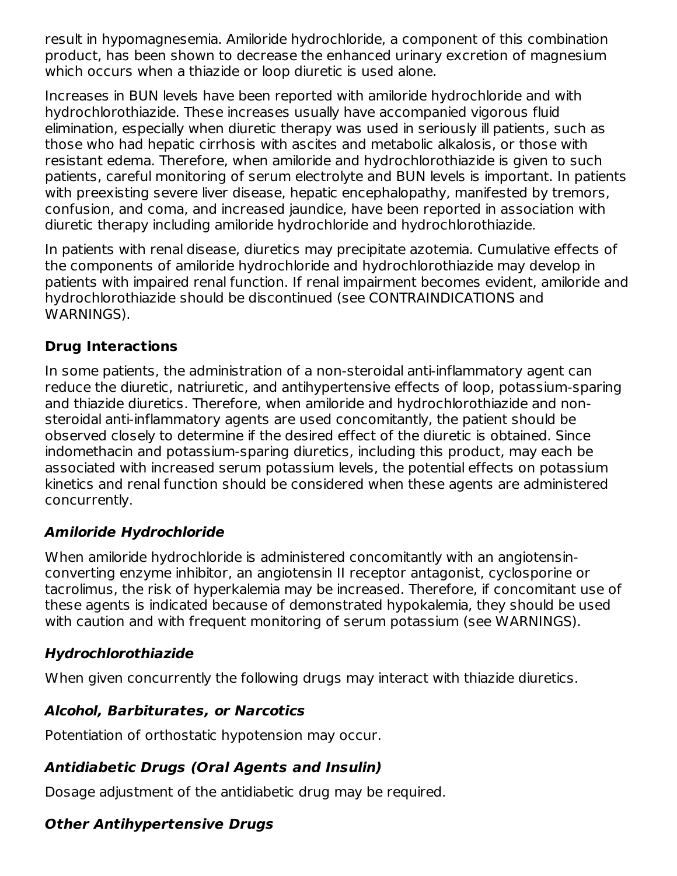result in hypomagnesemia. Amiloride hydrochloride, a component of this combination product, has been shown to decrease the enhanced urinary excretion of magnesium which occurs when a thiazide or loop diuretic is used alone.

Increases in BUN levels have been reported with amiloride hydrochloride and with hydrochlorothiazide. These increases usually have accompanied vigorous fluid elimination, especially when diuretic therapy was used in seriously ill patients, such as those who had hepatic cirrhosis with ascites and metabolic alkalosis, or those with resistant edema. Therefore, when amiloride and hydrochlorothiazide is given to such patients, careful monitoring of serum electrolyte and BUN levels is important. In patients with preexisting severe liver disease, hepatic encephalopathy, manifested by tremors, confusion, and coma, and increased jaundice, have been reported in association with diuretic therapy including amiloride hydrochloride and hydrochlorothiazide.

In patients with renal disease, diuretics may precipitate azotemia. Cumulative effects of the components of amiloride hydrochloride and hydrochlorothiazide may develop in patients with impaired renal function. If renal impairment becomes evident, amiloride and hydrochlorothiazide should be discontinued (see CONTRAINDICATIONS and WARNINGS).

## **Drug Interactions**

In some patients, the administration of a non-steroidal anti-inflammatory agent can reduce the diuretic, natriuretic, and antihypertensive effects of loop, potassium-sparing and thiazide diuretics. Therefore, when amiloride and hydrochlorothiazide and nonsteroidal anti-inflammatory agents are used concomitantly, the patient should be observed closely to determine if the desired effect of the diuretic is obtained. Since indomethacin and potassium-sparing diuretics, including this product, may each be associated with increased serum potassium levels, the potential effects on potassium kinetics and renal function should be considered when these agents are administered concurrently.

#### **Amiloride Hydrochloride**

When amiloride hydrochloride is administered concomitantly with an angiotensinconverting enzyme inhibitor, an angiotensin II receptor antagonist, cyclosporine or tacrolimus, the risk of hyperkalemia may be increased. Therefore, if concomitant use of these agents is indicated because of demonstrated hypokalemia, they should be used with caution and with frequent monitoring of serum potassium (see WARNINGS).

# **Hydrochlorothiazide**

When given concurrently the following drugs may interact with thiazide diuretics.

# **Alcohol, Barbiturates, or Narcotics**

Potentiation of orthostatic hypotension may occur.

# **Antidiabetic Drugs (Oral Agents and Insulin)**

Dosage adjustment of the antidiabetic drug may be required.

# **Other Antihypertensive Drugs**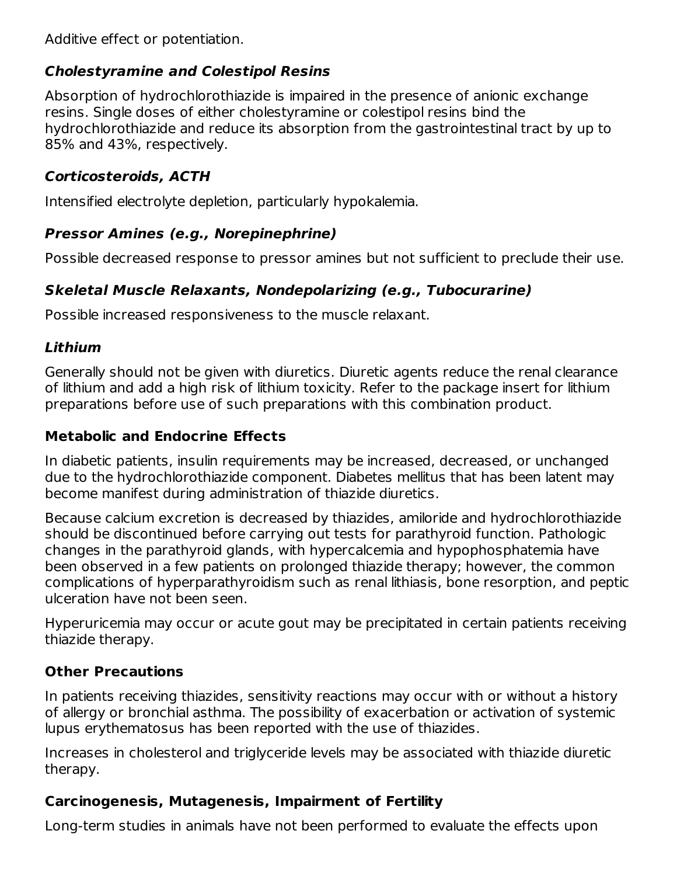Additive effect or potentiation.

# **Cholestyramine and Colestipol Resins**

Absorption of hydrochlorothiazide is impaired in the presence of anionic exchange resins. Single doses of either cholestyramine or colestipol resins bind the hydrochlorothiazide and reduce its absorption from the gastrointestinal tract by up to 85% and 43%, respectively.

## **Corticosteroids, ACTH**

Intensified electrolyte depletion, particularly hypokalemia.

# **Pressor Amines (e.g., Norepinephrine)**

Possible decreased response to pressor amines but not sufficient to preclude their use.

# **Skeletal Muscle Relaxants, Nondepolarizing (e.g., Tubocurarine)**

Possible increased responsiveness to the muscle relaxant.

# **Lithium**

Generally should not be given with diuretics. Diuretic agents reduce the renal clearance of lithium and add a high risk of lithium toxicity. Refer to the package insert for lithium preparations before use of such preparations with this combination product.

# **Metabolic and Endocrine Effects**

In diabetic patients, insulin requirements may be increased, decreased, or unchanged due to the hydrochlorothiazide component. Diabetes mellitus that has been latent may become manifest during administration of thiazide diuretics.

Because calcium excretion is decreased by thiazides, amiloride and hydrochlorothiazide should be discontinued before carrying out tests for parathyroid function. Pathologic changes in the parathyroid glands, with hypercalcemia and hypophosphatemia have been observed in a few patients on prolonged thiazide therapy; however, the common complications of hyperparathyroidism such as renal lithiasis, bone resorption, and peptic ulceration have not been seen.

Hyperuricemia may occur or acute gout may be precipitated in certain patients receiving thiazide therapy.

# **Other Precautions**

In patients receiving thiazides, sensitivity reactions may occur with or without a history of allergy or bronchial asthma. The possibility of exacerbation or activation of systemic lupus erythematosus has been reported with the use of thiazides.

Increases in cholesterol and triglyceride levels may be associated with thiazide diuretic therapy.

# **Carcinogenesis, Mutagenesis, Impairment of Fertility**

Long-term studies in animals have not been performed to evaluate the effects upon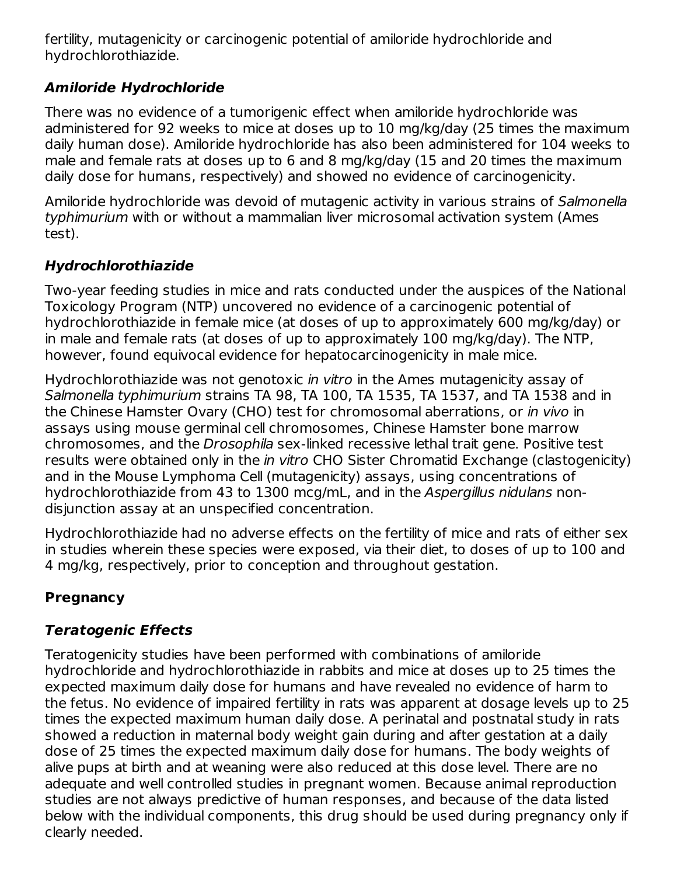fertility, mutagenicity or carcinogenic potential of amiloride hydrochloride and hydrochlorothiazide.

# **Amiloride Hydrochloride**

There was no evidence of a tumorigenic effect when amiloride hydrochloride was administered for 92 weeks to mice at doses up to 10 mg/kg/day (25 times the maximum daily human dose). Amiloride hydrochloride has also been administered for 104 weeks to male and female rats at doses up to 6 and 8 mg/kg/day (15 and 20 times the maximum daily dose for humans, respectively) and showed no evidence of carcinogenicity.

Amiloride hydrochloride was devoid of mutagenic activity in various strains of Salmonella typhimurium with or without a mammalian liver microsomal activation system (Ames test).

# **Hydrochlorothiazide**

Two-year feeding studies in mice and rats conducted under the auspices of the National Toxicology Program (NTP) uncovered no evidence of a carcinogenic potential of hydrochlorothiazide in female mice (at doses of up to approximately 600 mg/kg/day) or in male and female rats (at doses of up to approximately 100 mg/kg/day). The NTP, however, found equivocal evidence for hepatocarcinogenicity in male mice.

Hydrochlorothiazide was not genotoxic in vitro in the Ames mutagenicity assay of Salmonella typhimurium strains TA 98, TA 100, TA 1535, TA 1537, and TA 1538 and in the Chinese Hamster Ovary (CHO) test for chromosomal aberrations, or in vivo in assays using mouse germinal cell chromosomes, Chinese Hamster bone marrow chromosomes, and the Drosophila sex-linked recessive lethal trait gene. Positive test results were obtained only in the *in vitro* CHO Sister Chromatid Exchange (clastogenicity) and in the Mouse Lymphoma Cell (mutagenicity) assays, using concentrations of hydrochlorothiazide from 43 to 1300 mcg/mL, and in the Aspergillus nidulans nondisjunction assay at an unspecified concentration.

Hydrochlorothiazide had no adverse effects on the fertility of mice and rats of either sex in studies wherein these species were exposed, via their diet, to doses of up to 100 and 4 mg/kg, respectively, prior to conception and throughout gestation.

# **Pregnancy**

# **Teratogenic Effects**

Teratogenicity studies have been performed with combinations of amiloride hydrochloride and hydrochlorothiazide in rabbits and mice at doses up to 25 times the expected maximum daily dose for humans and have revealed no evidence of harm to the fetus. No evidence of impaired fertility in rats was apparent at dosage levels up to 25 times the expected maximum human daily dose. A perinatal and postnatal study in rats showed a reduction in maternal body weight gain during and after gestation at a daily dose of 25 times the expected maximum daily dose for humans. The body weights of alive pups at birth and at weaning were also reduced at this dose level. There are no adequate and well controlled studies in pregnant women. Because animal reproduction studies are not always predictive of human responses, and because of the data listed below with the individual components, this drug should be used during pregnancy only if clearly needed.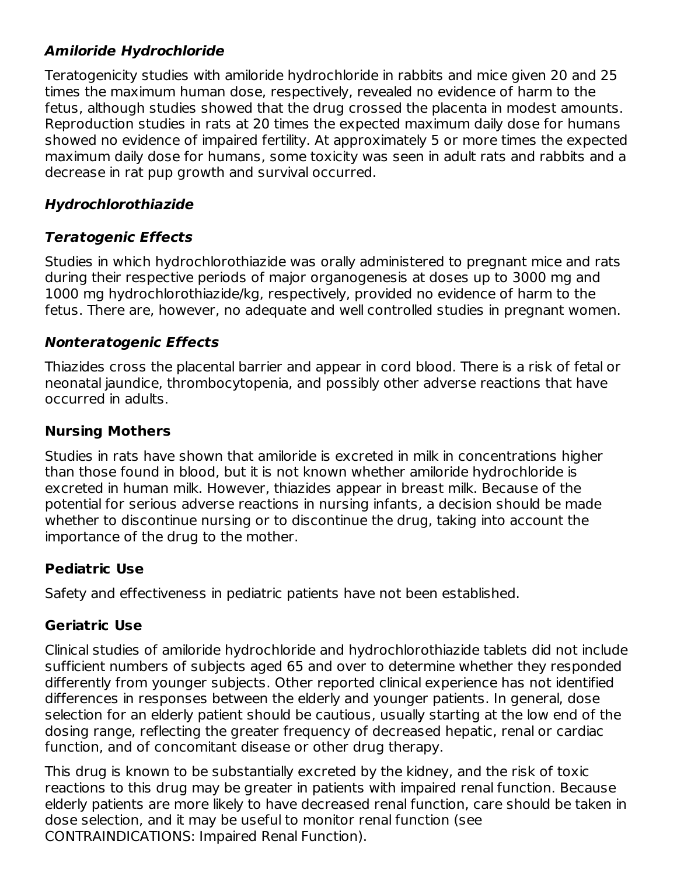# **Amiloride Hydrochloride**

Teratogenicity studies with amiloride hydrochloride in rabbits and mice given 20 and 25 times the maximum human dose, respectively, revealed no evidence of harm to the fetus, although studies showed that the drug crossed the placenta in modest amounts. Reproduction studies in rats at 20 times the expected maximum daily dose for humans showed no evidence of impaired fertility. At approximately 5 or more times the expected maximum daily dose for humans, some toxicity was seen in adult rats and rabbits and a decrease in rat pup growth and survival occurred.

# **Hydrochlorothiazide**

# **Teratogenic Effects**

Studies in which hydrochlorothiazide was orally administered to pregnant mice and rats during their respective periods of major organogenesis at doses up to 3000 mg and 1000 mg hydrochlorothiazide/kg, respectively, provided no evidence of harm to the fetus. There are, however, no adequate and well controlled studies in pregnant women.

## **Nonteratogenic Effects**

Thiazides cross the placental barrier and appear in cord blood. There is a risk of fetal or neonatal jaundice, thrombocytopenia, and possibly other adverse reactions that have occurred in adults.

## **Nursing Mothers**

Studies in rats have shown that amiloride is excreted in milk in concentrations higher than those found in blood, but it is not known whether amiloride hydrochloride is excreted in human milk. However, thiazides appear in breast milk. Because of the potential for serious adverse reactions in nursing infants, a decision should be made whether to discontinue nursing or to discontinue the drug, taking into account the importance of the drug to the mother.

#### **Pediatric Use**

Safety and effectiveness in pediatric patients have not been established.

# **Geriatric Use**

Clinical studies of amiloride hydrochloride and hydrochlorothiazide tablets did not include sufficient numbers of subjects aged 65 and over to determine whether they responded differently from younger subjects. Other reported clinical experience has not identified differences in responses between the elderly and younger patients. In general, dose selection for an elderly patient should be cautious, usually starting at the low end of the dosing range, reflecting the greater frequency of decreased hepatic, renal or cardiac function, and of concomitant disease or other drug therapy.

This drug is known to be substantially excreted by the kidney, and the risk of toxic reactions to this drug may be greater in patients with impaired renal function. Because elderly patients are more likely to have decreased renal function, care should be taken in dose selection, and it may be useful to monitor renal function (see CONTRAINDICATIONS: Impaired Renal Function).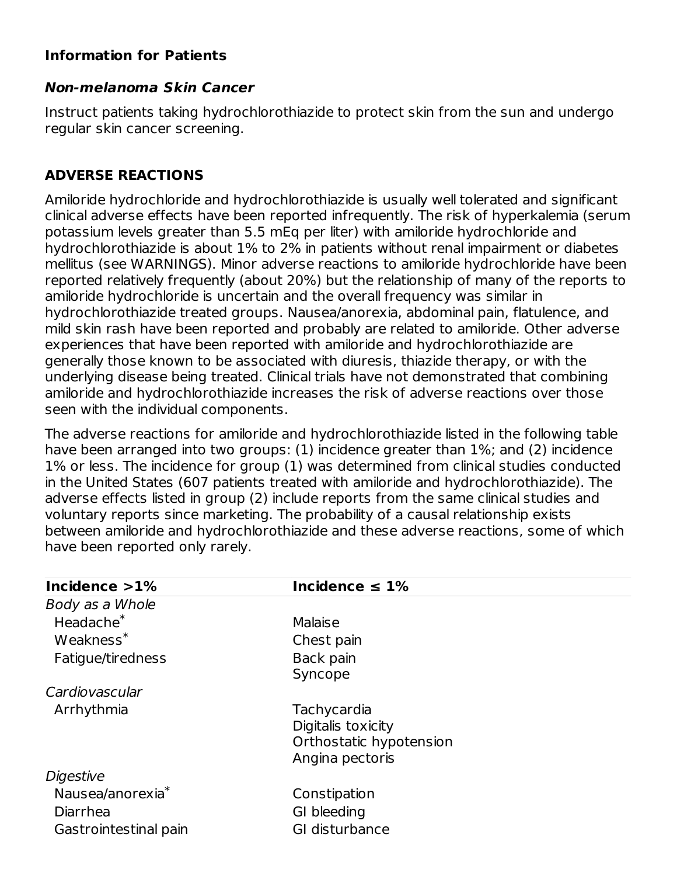## **Information for Patients**

## **Non-melanoma Skin Cancer**

Instruct patients taking hydrochlorothiazide to protect skin from the sun and undergo regular skin cancer screening.

# **ADVERSE REACTIONS**

Amiloride hydrochloride and hydrochlorothiazide is usually well tolerated and significant clinical adverse effects have been reported infrequently. The risk of hyperkalemia (serum potassium levels greater than 5.5 mEq per liter) with amiloride hydrochloride and hydrochlorothiazide is about 1% to 2% in patients without renal impairment or diabetes mellitus (see WARNINGS). Minor adverse reactions to amiloride hydrochloride have been reported relatively frequently (about 20%) but the relationship of many of the reports to amiloride hydrochloride is uncertain and the overall frequency was similar in hydrochlorothiazide treated groups. Nausea/anorexia, abdominal pain, flatulence, and mild skin rash have been reported and probably are related to amiloride. Other adverse experiences that have been reported with amiloride and hydrochlorothiazide are generally those known to be associated with diuresis, thiazide therapy, or with the underlying disease being treated. Clinical trials have not demonstrated that combining amiloride and hydrochlorothiazide increases the risk of adverse reactions over those seen with the individual components.

The adverse reactions for amiloride and hydrochlorothiazide listed in the following table have been arranged into two groups: (1) incidence greater than 1%; and (2) incidence 1% or less. The incidence for group (1) was determined from clinical studies conducted in the United States (607 patients treated with amiloride and hydrochlorothiazide). The adverse effects listed in group (2) include reports from the same clinical studies and voluntary reports since marketing. The probability of a causal relationship exists between amiloride and hydrochlorothiazide and these adverse reactions, some of which have been reported only rarely.

| Incidence >1%                | Incidence $\leq 1\%$    |  |  |
|------------------------------|-------------------------|--|--|
| Body as a Whole              |                         |  |  |
| Headache <sup>*</sup>        | Malaise                 |  |  |
| Weakness $*$                 | Chest pain              |  |  |
| Fatigue/tiredness            | Back pain               |  |  |
|                              | Syncope                 |  |  |
| Cardiovascular               |                         |  |  |
| Arrhythmia                   | Tachycardia             |  |  |
|                              | Digitalis toxicity      |  |  |
|                              | Orthostatic hypotension |  |  |
|                              | Angina pectoris         |  |  |
| <b>Digestive</b>             |                         |  |  |
| Nausea/anorexia <sup>*</sup> | Constipation            |  |  |
| Diarrhea                     | GI bleeding             |  |  |
| Gastrointestinal pain        | GI disturbance          |  |  |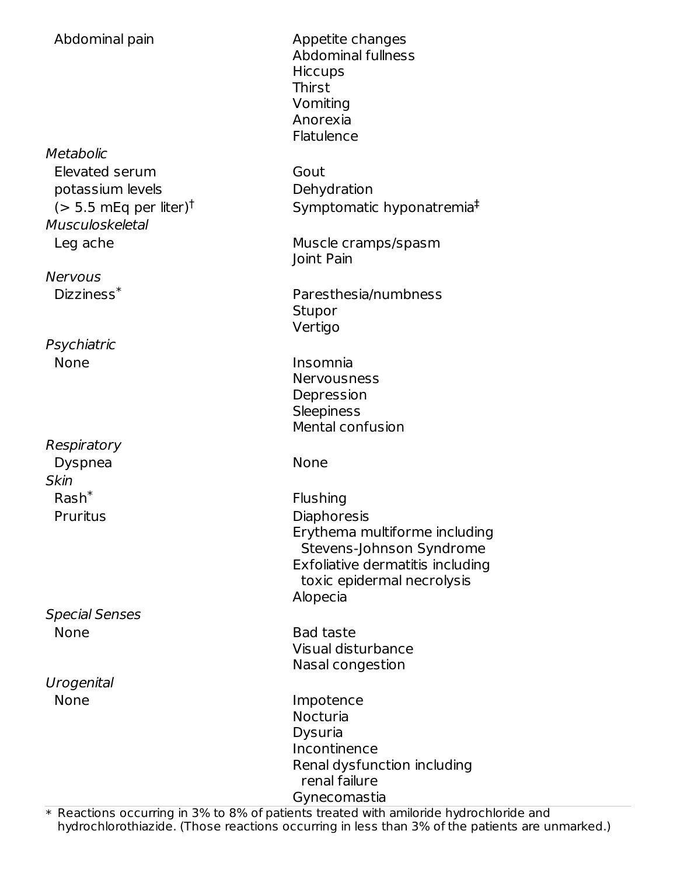Metabolic Elevated serum Gout potassium levels **Dehydration** Musculoskeletal

**Nervous** Dizziness<sup>\*</sup>

Psychiatric None Insomnia

**Respiratory** Dyspnea None Skin  $Rash^*$ 

Special Senses None Bad taste

**Urogenital** 

Abdominal pain and appetite changes Abdominal fullness **Hiccups** Thirst Vomiting Anorexia Flatulence

 $(> 5.5 \text{ mEq per liter})^{\dagger}$  Symptomatic hyponatremia<sup>‡</sup>

Leg ache and the Muscle cramps/spasm Joint Pain

> Paresthesia/numbness **Stupor** Vertigo

**Nervousness** Depression **Sleepiness** Mental confusion

**Flushing** Pruritus Diaphoresis Erythema multiforme including Stevens-Johnson Syndrome Exfoliative dermatitis including toxic epidermal necrolysis Alopecia

> Visual disturbance Nasal congestion

None Impotence Nocturia Dysuria Incontinence Renal dysfunction including renal failure Gynecomastia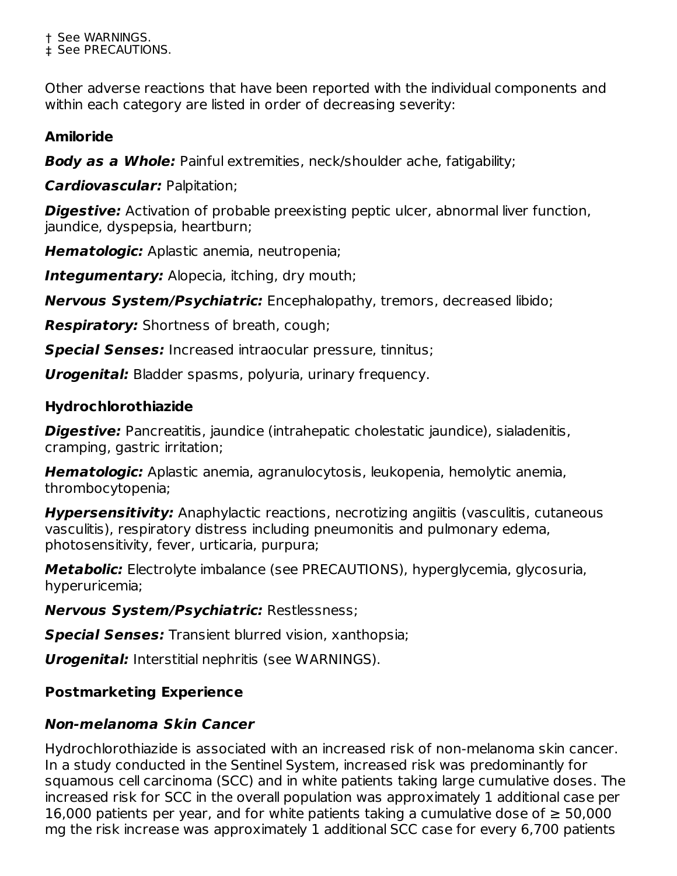† See WARNINGS. ‡ See PRECAUTIONS.

Other adverse reactions that have been reported with the individual components and within each category are listed in order of decreasing severity:

## **Amiloride**

**Body as a Whole:** Painful extremities, neck/shoulder ache, fatigability;

**Cardiovascular:** Palpitation;

**Digestive:** Activation of probable preexisting peptic ulcer, abnormal liver function, jaundice, dyspepsia, heartburn;

**Hematologic:** Aplastic anemia, neutropenia;

**Integumentary:** Alopecia, itching, dry mouth;

**Nervous System/Psychiatric:** Encephalopathy, tremors, decreased libido;

**Respiratory:** Shortness of breath, cough;

**Special Senses:** Increased intraocular pressure, tinnitus;

**Urogenital:** Bladder spasms, polyuria, urinary frequency.

# **Hydrochlorothiazide**

**Digestive:** Pancreatitis, jaundice (intrahepatic cholestatic jaundice), sialadenitis, cramping, gastric irritation;

**Hematologic:** Aplastic anemia, agranulocytosis, leukopenia, hemolytic anemia, thrombocytopenia;

**Hypersensitivity:** Anaphylactic reactions, necrotizing angiitis (vasculitis, cutaneous vasculitis), respiratory distress including pneumonitis and pulmonary edema, photosensitivity, fever, urticaria, purpura;

**Metabolic:** Electrolyte imbalance (see PRECAUTIONS), hyperglycemia, glycosuria, hyperuricemia;

**Nervous System/Psychiatric:** Restlessness;

**Special Senses:** Transient blurred vision, xanthopsia;

**Urogenital:** Interstitial nephritis (see WARNINGS).

# **Postmarketing Experience**

# **Non-melanoma Skin Cancer**

Hydrochlorothiazide is associated with an increased risk of non-melanoma skin cancer. In a study conducted in the Sentinel System, increased risk was predominantly for squamous cell carcinoma (SCC) and in white patients taking large cumulative doses. The increased risk for SCC in the overall population was approximately 1 additional case per 16,000 patients per year, and for white patients taking a cumulative dose of  $\geq 50,000$ mg the risk increase was approximately 1 additional SCC case for every 6,700 patients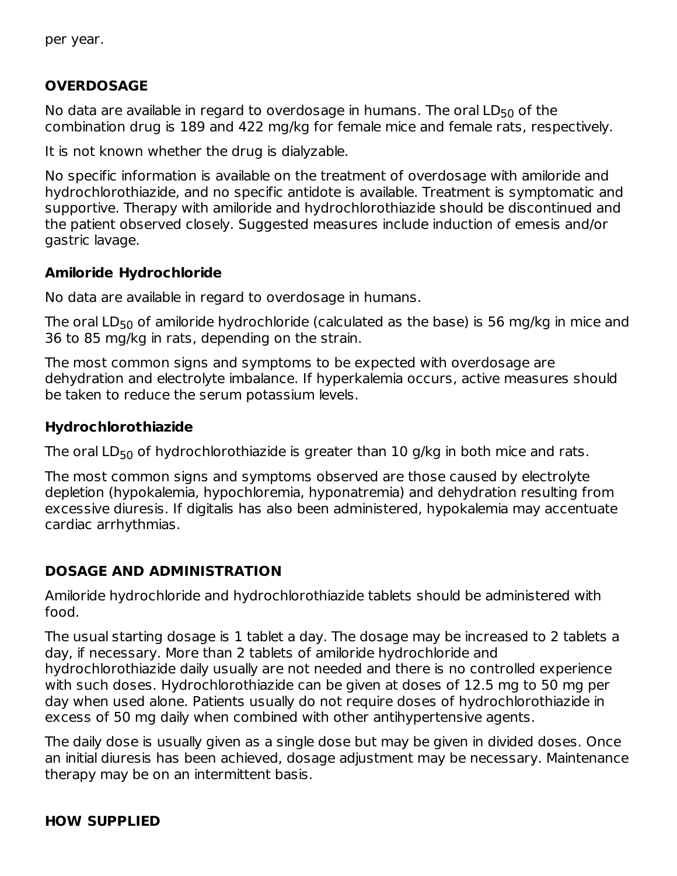per year.

#### **OVERDOSAGE**

No data are available in regard to overdosage in humans. The oral  $\mathsf{LD}_{50}$  of the combination drug is 189 and 422 mg/kg for female mice and female rats, respectively.

It is not known whether the drug is dialyzable.

No specific information is available on the treatment of overdosage with amiloride and hydrochlorothiazide, and no specific antidote is available. Treatment is symptomatic and supportive. Therapy with amiloride and hydrochlorothiazide should be discontinued and the patient observed closely. Suggested measures include induction of emesis and/or gastric lavage.

## **Amiloride Hydrochloride**

No data are available in regard to overdosage in humans.

The oral  $\mathsf{LD}_{50}$  of amiloride hydrochloride (calculated as the base) is 56 mg/kg in mice and 36 to 85 mg/kg in rats, depending on the strain.

The most common signs and symptoms to be expected with overdosage are dehydration and electrolyte imbalance. If hyperkalemia occurs, active measures should be taken to reduce the serum potassium levels.

## **Hydrochlorothiazide**

The oral  $\mathsf{LD}_{50}$  of hydrochlorothiazide is greater than  $10$  g/kg in both mice and rats.

The most common signs and symptoms observed are those caused by electrolyte depletion (hypokalemia, hypochloremia, hyponatremia) and dehydration resulting from excessive diuresis. If digitalis has also been administered, hypokalemia may accentuate cardiac arrhythmias.

# **DOSAGE AND ADMINISTRATION**

Amiloride hydrochloride and hydrochlorothiazide tablets should be administered with food.

The usual starting dosage is 1 tablet a day. The dosage may be increased to 2 tablets a day, if necessary. More than 2 tablets of amiloride hydrochloride and hydrochlorothiazide daily usually are not needed and there is no controlled experience with such doses. Hydrochlorothiazide can be given at doses of 12.5 mg to 50 mg per day when used alone. Patients usually do not require doses of hydrochlorothiazide in excess of 50 mg daily when combined with other antihypertensive agents.

The daily dose is usually given as a single dose but may be given in divided doses. Once an initial diuresis has been achieved, dosage adjustment may be necessary. Maintenance therapy may be on an intermittent basis.

#### **HOW SUPPLIED**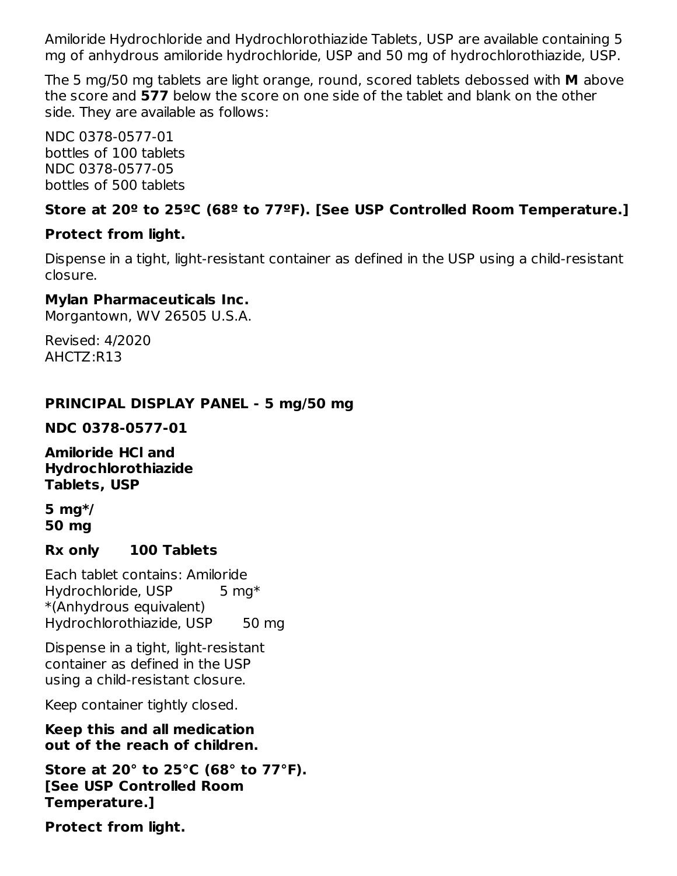Amiloride Hydrochloride and Hydrochlorothiazide Tablets, USP are available containing 5 mg of anhydrous amiloride hydrochloride, USP and 50 mg of hydrochlorothiazide, USP.

The 5 mg/50 mg tablets are light orange, round, scored tablets debossed with **M** above the score and **577** below the score on one side of the tablet and blank on the other side. They are available as follows:

NDC 0378-0577-01 bottles of 100 tablets NDC 0378-0577-05 bottles of 500 tablets

# **Store at 20º to 25ºC (68º to 77ºF). [See USP Controlled Room Temperature.]**

## **Protect from light.**

Dispense in a tight, light-resistant container as defined in the USP using a child-resistant closure.

## **Mylan Pharmaceuticals Inc.**

Morgantown, WV 26505 U.S.A.

Revised: 4/2020 AHCTZ:R13

# **PRINCIPAL DISPLAY PANEL - 5 mg/50 mg**

**NDC 0378-0577-01**

**Amiloride HCl and Hydrochlorothiazide Tablets, USP**

**5 mg\*/ 50 mg**

# **Rx only 100 Tablets**

Each tablet contains: Amiloride Hydrochloride, USP 5 mg\* \*(Anhydrous equivalent) Hydrochlorothiazide, USP 50 mg

Dispense in a tight, light-resistant container as defined in the USP using a child-resistant closure.

Keep container tightly closed.

**Keep this and all medication out of the reach of children.**

**Store at 20° to 25°C (68° to 77°F). [See USP Controlled Room Temperature.]**

**Protect from light.**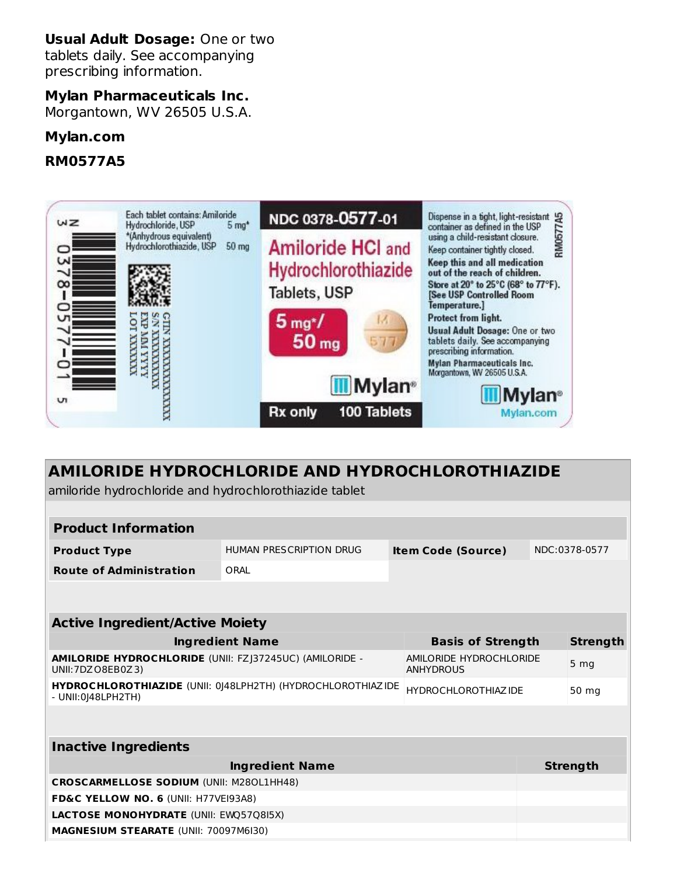# **Usual Adult Dosage:** One or two

tablets daily. See accompanying prescribing information.

# **Mylan Pharmaceuticals Inc.**

Morgantown, WV 26505 U.S.A.

#### **Mylan.com**

**RM0577A5**



| <b>AMILORIDE HYDROCHLORIDE AND HYDROCHLOROTHIAZIDE</b><br>amiloride hydrochloride and hydrochlorothiazide tablet |                         |                           |               |  |
|------------------------------------------------------------------------------------------------------------------|-------------------------|---------------------------|---------------|--|
|                                                                                                                  |                         |                           |               |  |
| <b>Product Information</b>                                                                                       |                         |                           |               |  |
| <b>Product Type</b>                                                                                              | HUMAN PRESCRIPTION DRUG | <b>Item Code (Source)</b> | NDC:0378-0577 |  |
| <b>Route of Administration</b>                                                                                   | ORAI                    |                           |               |  |
|                                                                                                                  |                         |                           |               |  |
| <b>Active Ingredient/Active Moiety</b>                                                                           |                         |                           |               |  |
| <b>Ingredient Name</b>                                                                                           |                         | <b>Basis of Strength</b>  |               |  |
| AMILORIDE HYDROCHLORIDE (UNII: FZJ37245UC) (AMILORIDE -<br>UNII: 7DZ O8EB0Z3)                                    | <b>ANHYDROUS</b>        | AMILORIDE HYDROCHLORIDE   |               |  |
| HYDROCHLOROTHIAZIDE (UNII: 0]48LPH2TH) (HYDROCHLOROTHIAZIDE<br>- UNII:0 48LPH2TH)                                | HYDROCHLOROTHIAZ IDE    |                           | 50 mg         |  |
|                                                                                                                  |                         |                           |               |  |
| <b>Inactive Ingredients</b>                                                                                      |                         |                           |               |  |
|                                                                                                                  | <b>Strength</b>         |                           |               |  |
| <b>CROSCARMELLOSE SODIUM (UNII: M280L1HH48)</b>                                                                  |                         |                           |               |  |
| FD&C YELLOW NO. 6 (UNII: H77VEI93A8)                                                                             |                         |                           |               |  |
| <b>LACTOSE MONOHYDRATE (UNII: EWQ57Q8I5X)</b>                                                                    |                         |                           |               |  |
| MAGNESIUM STEARATE (UNII: 70097M6I30)                                                                            |                         |                           |               |  |